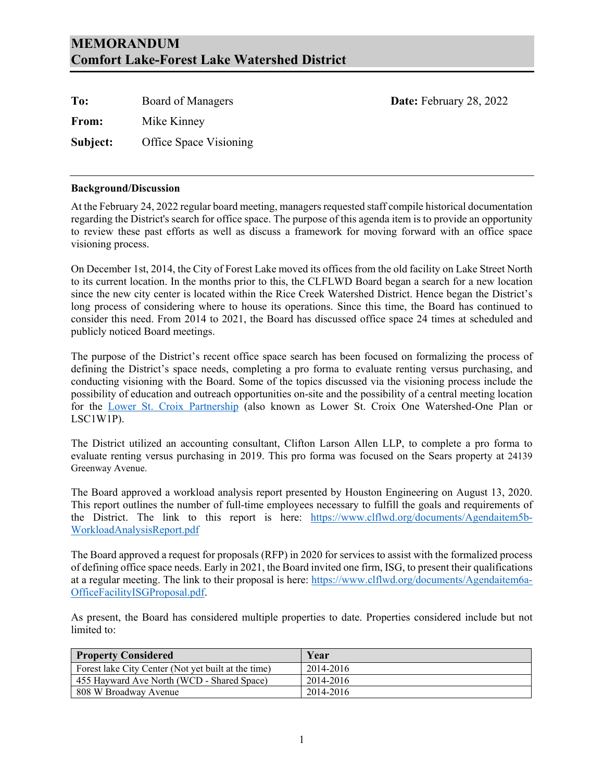### **MEMORANDUM Comfort Lake-Forest Lake Watershed District**

| To:      | Board of Managers      | Date: February 28, 2022 |
|----------|------------------------|-------------------------|
| From:    | Mike Kinney            |                         |
| Subject: | Office Space Visioning |                         |

#### **Background/Discussion**

At the February 24, 2022 regular board meeting, managers requested staff compile historical documentation regarding the District's search for office space. The purpose of this agenda item is to provide an opportunity to review these past efforts as well as discuss a framework for moving forward with an office space visioning process.

On December 1st, 2014, the City of Forest Lake moved its offices from the old facility on Lake Street North to its current location. In the months prior to this, the CLFLWD Board began a search for a new location since the new city center is located within the Rice Creek Watershed District. Hence began the District's long process of considering where to house its operations. Since this time, the Board has continued to consider this need. From 2014 to 2021, the Board has discussed office space 24 times at scheduled and publicly noticed Board meetings.

The purpose of the District's recent office space search has been focused on formalizing the process of defining the District's space needs, completing a pro forma to evaluate renting versus purchasing, and conducting visioning with the Board. Some of the topics discussed via the visioning process include the possibility of education and outreach opportunities on-site and the possibility of a central meeting location for the [Lower St. Croix](https://www.lsc1w1p.org/) Partnership (also known as Lower St. Croix One Watershed-One Plan or LSC1W1P).

The District utilized an accounting consultant, Clifton Larson Allen LLP, to complete a pro forma to evaluate renting versus purchasing in 2019. This pro forma was focused on the Sears property at 24139 Greenway Avenue.

The Board approved a workload analysis report presented by Houston Engineering on August 13, 2020. This report outlines the number of full-time employees necessary to fulfill the goals and requirements of the District. The link to this report is here: [https://www.clflwd.org/documents/Agendaitem5b-](https://www.clflwd.org/documents/Agendaitem5b-WorkloadAnalysisReport.pdf)[WorkloadAnalysisReport.pdf](https://www.clflwd.org/documents/Agendaitem5b-WorkloadAnalysisReport.pdf)

The Board approved a request for proposals (RFP) in 2020 for services to assist with the formalized process of defining office space needs. Early in 2021, the Board invited one firm, ISG, to present their qualifications at a regular meeting. The link to their proposal is here: [https://www.clflwd.org/documents/Agendaitem6a-](https://www.clflwd.org/documents/Agendaitem6a-OfficeFacilityISGProposal.pdf)[OfficeFacilityISGProposal.pdf.](https://www.clflwd.org/documents/Agendaitem6a-OfficeFacilityISGProposal.pdf)

As present, the Board has considered multiple properties to date. Properties considered include but not limited to:

| <b>Property Considered</b>                          | Year      |
|-----------------------------------------------------|-----------|
| Forest lake City Center (Not yet built at the time) | 2014-2016 |
| 455 Hayward Ave North (WCD - Shared Space)          | 2014-2016 |
| 808 W Broadway Avenue                               | 2014-2016 |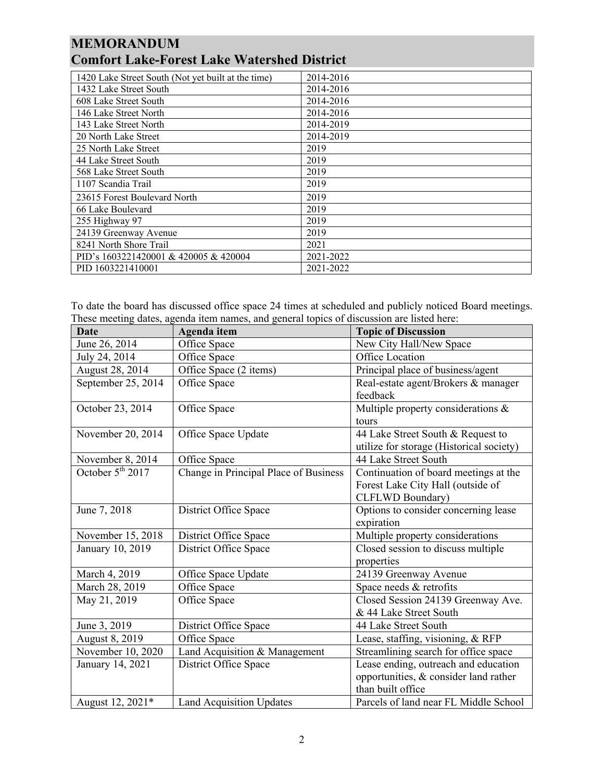## **MEMORANDUM Comfort Lake-Forest Lake Watershed District**

| 1420 Lake Street South (Not yet built at the time) | 2014-2016 |
|----------------------------------------------------|-----------|
| 1432 Lake Street South                             | 2014-2016 |
|                                                    |           |
| 608 Lake Street South                              | 2014-2016 |
| 146 Lake Street North                              | 2014-2016 |
| 143 Lake Street North                              | 2014-2019 |
| 20 North Lake Street                               | 2014-2019 |
| 25 North Lake Street                               | 2019      |
| 44 Lake Street South                               | 2019      |
| 568 Lake Street South                              | 2019      |
| 1107 Scandia Trail                                 | 2019      |
| 23615 Forest Boulevard North                       | 2019      |
| 66 Lake Boulevard                                  | 2019      |
| 255 Highway 97                                     | 2019      |
| 24139 Greenway Avenue                              | 2019      |
| 8241 North Shore Trail                             | 2021      |
| PID's 1603221420001 & 420005 & 420004              | 2021-2022 |
| PID 1603221410001                                  | 2021-2022 |

To date the board has discussed office space 24 times at scheduled and publicly noticed Board meetings. These meeting dates, agenda item names, and general topics of discussion are listed here:

| <b>Date</b>                  | Agenda item                           | <b>Topic of Discussion</b>               |
|------------------------------|---------------------------------------|------------------------------------------|
| June 26, 2014                | Office Space                          | New City Hall/New Space                  |
| July 24, 2014                | Office Space                          | Office Location                          |
| August 28, 2014              | Office Space (2 items)                | Principal place of business/agent        |
| September 25, 2014           | Office Space                          | Real-estate agent/Brokers & manager      |
|                              |                                       | feedback                                 |
| October 23, 2014             | Office Space                          | Multiple property considerations &       |
|                              |                                       | tours                                    |
| November 20, 2014            | Office Space Update                   | 44 Lake Street South & Request to        |
|                              |                                       | utilize for storage (Historical society) |
| November 8, 2014             | Office Space                          | 44 Lake Street South                     |
| October 5 <sup>th</sup> 2017 | Change in Principal Place of Business | Continuation of board meetings at the    |
|                              |                                       | Forest Lake City Hall (outside of        |
|                              |                                       | CLFLWD Boundary)                         |
| June 7, 2018                 | District Office Space                 | Options to consider concerning lease     |
|                              |                                       | expiration                               |
| November 15, 2018            | District Office Space                 | Multiple property considerations         |
| January 10, 2019             | District Office Space                 | Closed session to discuss multiple       |
|                              |                                       | properties                               |
| March 4, 2019                | Office Space Update                   | 24139 Greenway Avenue                    |
| March 28, 2019               | Office Space                          | Space needs & retrofits                  |
| May 21, 2019                 | Office Space                          | Closed Session 24139 Greenway Ave.       |
|                              |                                       | & 44 Lake Street South                   |
| June 3, 2019                 | District Office Space                 | 44 Lake Street South                     |
| August 8, 2019               | Office Space                          | Lease, staffing, visioning, & RFP        |
| November 10, 2020            | Land Acquisition & Management         | Streamlining search for office space     |
| January 14, 2021             | District Office Space                 | Lease ending, outreach and education     |
|                              |                                       | opportunities, & consider land rather    |
|                              |                                       | than built office                        |
| August 12, 2021*             | <b>Land Acquisition Updates</b>       | Parcels of land near FL Middle School    |